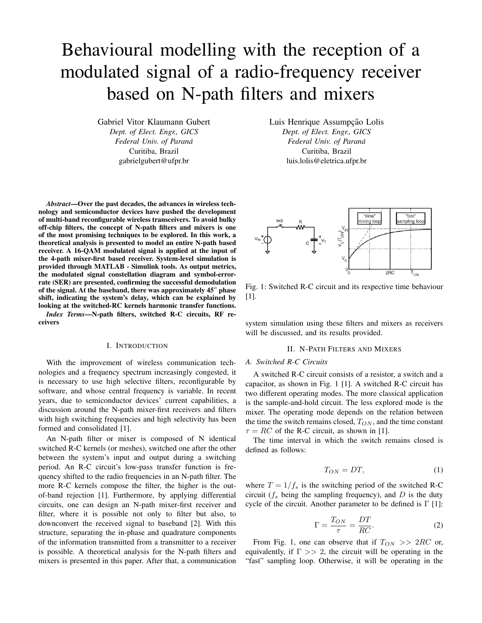# Behavioural modelling with the reception of a modulated signal of a radio-frequency receiver based on N-path filters and mixers

Gabriel Vitor Klaumann Gubert *Dept. of Elect. Engr., GICS Federal Univ. of Parana´* Curitiba, Brazil gabrielgubert@ufpr.br

*Abstract*—Over the past decades, the advances in wireless technology and semiconductor devices have pushed the development of multi-band reconfigurable wireless transceivers. To avoid bulky off-chip filters, the concept of N-path filters and mixers is one of the most promising techniques to be explored. In this work, a theoretical analysis is presented to model an entire N-path based receiver. A 16-QAM modulated signal is applied at the input of the 4-path mixer-first based receiver. System-level simulation is provided through MATLAB - Simulink tools. As output metrics, the modulated signal constellation diagram and symbol-errorrate (SER) are presented, confirming the successful demodulation of the signal. At the baseband, there was approximately  $45^{\circ}$  phase shift, indicating the system's delay, which can be explained by looking at the switched-RC kernels harmonic transfer functions.

*Index Terms*—N-path filters, switched R-C circuits, RF receivers

#### I. INTRODUCTION

With the improvement of wireless communication technologies and a frequency spectrum increasingly congested, it is necessary to use high selective filters, reconfigurable by software, and whose central frequency is variable. In recent years, due to semiconductor devices' current capabilities, a discussion around the N-path mixer-first receivers and filters with high switching frequencies and high selectivity has been formed and consolidated [1].

An N-path filter or mixer is composed of N identical switched R-C kernels (or meshes), switched one after the other between the system's input and output during a switching period. An R-C circuit's low-pass transfer function is frequency shifted to the radio frequencies in an N-path filter. The more R-C kernels compose the filter, the higher is the outof-band rejection [1]. Furthermore, by applying differential circuits, one can design an N-path mixer-first receiver and filter, where it is possible not only to filter but also, to downconvert the received signal to baseband [2]. With this structure, separating the in-phase and quadrature components of the information transmitted from a transmitter to a receiver is possible. A theoretical analysis for the N-path filters and mixers is presented in this paper. After that, a communication Luis Henrique Assumpção Lolis *Dept. of Elect. Engr., GICS Federal Univ. of Parana´* Curitiba, Brazil luis.lolis@eletrica.ufpr.br



Fig. 1: Switched R-C circuit and its respective time behaviour [1].

system simulation using these filters and mixers as receivers will be discussed, and its results provided.

#### II. N-PATH FILTERS AND MIXERS

# *A. Switched R-C Circuits*

A switched R-C circuit consists of a resistor, a switch and a capacitor, as shown in Fig. 1 [1]. A switched R-C circuit has two different operating modes. The more classical application is the sample-and-hold circuit. The less explored mode is the mixer. The operating mode depends on the relation between the time the switch remains closed,  $T_{ON}$ , and the time constant  $\tau = RC$  of the R-C circuit, as shown in [1].

The time interval in which the switch remains closed is defined as follows:

$$
T_{ON} = DT,\t\t(1)
$$

where  $T = 1/f_s$  is the switching period of the switched R-C circuit  $(f_s$  being the sampling frequency), and  $D$  is the duty cycle of the circuit. Another parameter to be defined is  $\Gamma$  [1]:

$$
\Gamma = \frac{T_{ON}}{\tau} = \frac{DT}{RC}.
$$
\n(2)

From Fig. 1, one can observe that if  $T_{ON} >> 2RC$  or, equivalently, if  $\Gamma >> 2$ , the circuit will be operating in the "fast" sampling loop. Otherwise, it will be operating in the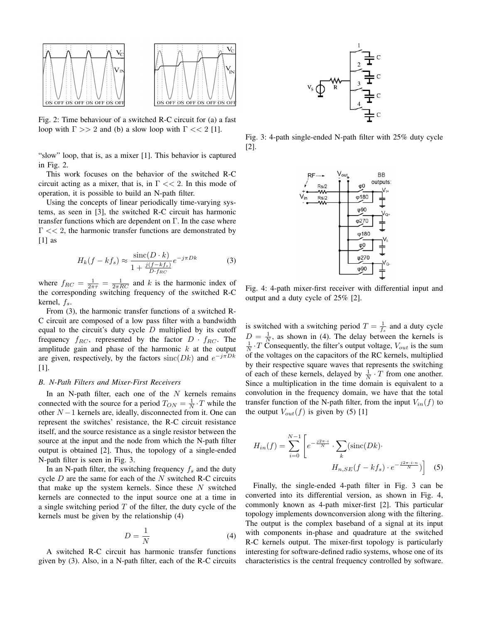

Fig. 2: Time behaviour of a switched R-C circuit for (a) a fast loop with  $\Gamma >> 2$  and (b) a slow loop with  $\Gamma << 2$  [1].

"slow" loop, that is, as a mixer [1]. This behavior is captured in Fig. 2.

This work focuses on the behavior of the switched R-C circuit acting as a mixer, that is, in  $\Gamma \ll 2$ . In this mode of operation, it is possible to build an N-path filter.

Using the concepts of linear periodically time-varying systems, as seen in [3], the switched R-C circuit has harmonic transfer functions which are dependent on  $\Gamma$ . In the case where  $\Gamma \ll 2$ , the harmonic transfer functions are demonstrated by  $[1]$  as

$$
H_k(f - kf_s) \approx \frac{\text{sinc}(D \cdot k)}{1 + \frac{j(f - kf_s)}{D \cdot f_{RC}}} e^{-j\pi Dk}
$$
 (3)

where  $f_{RC} = \frac{1}{2\pi\tau} = \frac{1}{2\pi RC}$  and k is the harmonic index of the corresponding switching frequency of the switched R-C kernel,  $f_s$ .

From (3), the harmonic transfer functions of a switched R-C circuit are composed of a low pass filter with a bandwidth equal to the circuit's duty cycle  $D$  multiplied by its cutoff frequency  $f_{RC}$ , represented by the factor  $D \cdot f_{RC}$ . The amplitude gain and phase of the harmonic  $k$  at the output are given, respectively, by the factors  $sinc(Dk)$  and  $e^{-j\pi Dk}$ [1].

## *B. N-Path Filters and Mixer-First Receivers*

In an N-path filter, each one of the  $N$  kernels remains connected with the source for a period  $T_{ON} = \frac{1}{N} \cdot T$  while the other  $N-1$  kernels are, ideally, disconnected from it. One can represent the switches' resistance, the R-C circuit resistance itself, and the source resistance as a single resistor between the source at the input and the node from which the N-path filter output is obtained [2]. Thus, the topology of a single-ended N-path filter is seen in Fig. 3.

In an N-path filter, the switching frequency  $f_s$  and the duty cycle  $D$  are the same for each of the  $N$  switched R-C circuits that make up the system kernels. Since these  $N$  switched kernels are connected to the input source one at a time in a single switching period  $T$  of the filter, the duty cycle of the kernels must be given by the relationship (4)

$$
D = \frac{1}{N} \tag{4}
$$

A switched R-C circuit has harmonic transfer functions given by (3). Also, in a N-path filter, each of the R-C circuits



Fig. 3: 4-path single-ended N-path filter with 25% duty cycle [2].



Fig. 4: 4-path mixer-first receiver with differential input and output and a duty cycle of 25% [2].

is switched with a switching period  $T = \frac{1}{f_s}$  and a duty cycle  $D = \frac{1}{N}$ , as shown in (4). The delay between the kernels is  $\frac{1}{N} \cdot T$  Consequently, the filter's output voltage,  $V_{out}$  is the sum of the voltages on the capacitors of the RC kernels, multiplied by their respective square waves that represents the switching of each of these kernels, delayed by  $\frac{1}{N} \cdot T$  from one another. Since a multiplication in the time domain is equivalent to a convolution in the frequency domain, we have that the total transfer function of the N-path filter, from the input  $V_{in}(f)$  to the output  $V_{out}(f)$  is given by (5) [1]

$$
H_{in}(f) = \sum_{i=0}^{N-1} \left[ e^{-\frac{j2\pi \cdot i}{N}} \cdot \sum_{k} (\text{sinc}(Dk) \cdot H_{n,SE}(f - kf_s) \cdot e^{-\frac{j2\pi \cdot i \cdot n}{N}}) \right]
$$
(5)

Finally, the single-ended 4-path filter in Fig. 3 can be converted into its differential version, as shown in Fig. 4, commonly known as 4-path mixer-first [2]. This particular topology implements downconversion along with the filtering. The output is the complex baseband of a signal at its input with components in-phase and quadrature at the switched R-C kernels output. The mixer-first topology is particularly interesting for software-defined radio systems, whose one of its characteristics is the central frequency controlled by software.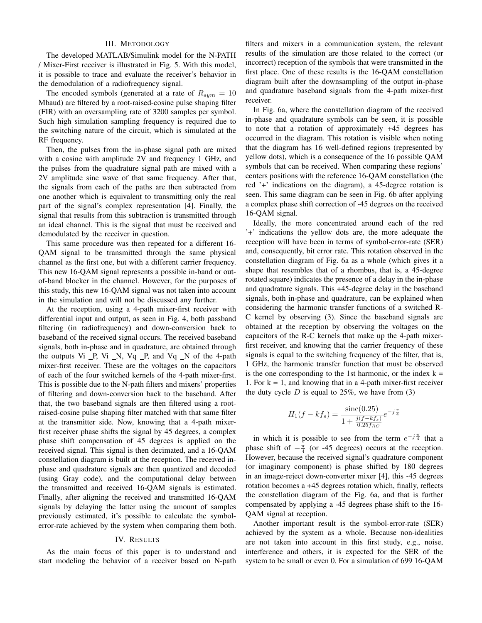## III. METODOLOGY

The developed MATLAB/Simulink model for the N-PATH / Mixer-First receiver is illustrated in Fig. 5. With this model, it is possible to trace and evaluate the receiver's behavior in the demodulation of a radiofrequency signal.

The encoded symbols (generated at a rate of  $R_{sym} = 10$ Mbaud) are filtered by a root-raised-cosine pulse shaping filter (FIR) with an oversampling rate of 3200 samples per symbol. Such high simulation sampling frequency is required due to the switching nature of the circuit, which is simulated at the RF frequency.

Then, the pulses from the in-phase signal path are mixed with a cosine with amplitude 2V and frequency 1 GHz, and the pulses from the quadrature signal path are mixed with a 2V amplitude sine wave of that same frequency. After that, the signals from each of the paths are then subtracted from one another which is equivalent to transmitting only the real part of the signal's complex representation [4]. Finally, the signal that results from this subtraction is transmitted through an ideal channel. This is the signal that must be received and demodulated by the receiver in question.

This same procedure was then repeated for a different 16- QAM signal to be transmitted through the same physical channel as the first one, but with a different carrier frequency. This new 16-QAM signal represents a possible in-band or outof-band blocker in the channel. However, for the purposes of this study, this new 16-QAM signal was not taken into account in the simulation and will not be discussed any further.

At the reception, using a 4-path mixer-first receiver with differential input and output, as seen in Fig. 4, both passband filtering (in radiofrequency) and down-conversion back to baseband of the received signal occurs. The received baseband signals, both in-phase and in quadrature, are obtained through the outputs  $Vi$   $P$ ,  $Vi$   $N$ ,  $Vq$   $P$ , and  $Vq$   $N$  of the 4-path mixer-first receiver. These are the voltages on the capacitors of each of the four switched kernels of the 4-path mixer-first. This is possible due to the N-path filters and mixers' properties of filtering and down-conversion back to the baseband. After that, the two baseband signals are then filtered using a rootraised-cosine pulse shaping filter matched with that same filter at the transmitter side. Now, knowing that a 4-path mixerfirst receiver phase shifts the signal by 45 degrees, a complex phase shift compensation of 45 degrees is applied on the received signal. This signal is then decimated, and a 16-QAM constellation diagram is built at the reception. The received inphase and quadrature signals are then quantized and decoded (using Gray code), and the computational delay between the transmitted and received 16-QAM signals is estimated. Finally, after aligning the received and transmitted 16-QAM signals by delaying the latter using the amount of samples previously estimated, it's possible to calculate the symbolerror-rate achieved by the system when comparing them both.

#### IV. RESULTS

As the main focus of this paper is to understand and start modeling the behavior of a receiver based on N-path

filters and mixers in a communication system, the relevant results of the simulation are those related to the correct (or incorrect) reception of the symbols that were transmitted in the first place. One of these results is the 16-QAM constellation diagram built after the downsampling of the output in-phase and quadrature baseband signals from the 4-path mixer-first receiver.

In Fig. 6a, where the constellation diagram of the received in-phase and quadrature symbols can be seen, it is possible to note that a rotation of approximately +45 degrees has occurred in the diagram. This rotation is visible when noting that the diagram has 16 well-defined regions (represented by yellow dots), which is a consequence of the 16 possible QAM symbols that can be received. When comparing these regions' centers positions with the reference 16-QAM constellation (the red '+' indications on the diagram), a 45-degree rotation is seen. This same diagram can be seen in Fig. 6b after applying a complex phase shift correction of -45 degrees on the received 16-QAM signal.

Ideally, the more concentrated around each of the red '+' indications the yellow dots are, the more adequate the reception will have been in terms of symbol-error-rate (SER) and, consequently, bit error rate. This rotation observed in the constellation diagram of Fig. 6a as a whole (which gives it a shape that resembles that of a rhombus, that is, a 45-degree rotated square) indicates the presence of a delay in the in-phase and quadrature signals. This +45-degree delay in the baseband signals, both in-phase and quadrature, can be explained when considering the harmonic transfer functions of a switched R-C kernel by observing (3). Since the baseband signals are obtained at the reception by observing the voltages on the capacitors of the R-C kernels that make up the 4-path mixerfirst receiver, and knowing that the carrier frequency of these signals is equal to the switching frequency of the filter, that is, 1 GHz, the harmonic transfer function that must be observed is the one corresponding to the 1st harmonic, or the index  $k =$ 1. For  $k = 1$ , and knowing that in a 4-path mixer-first receiver the duty cycle  $D$  is equal to 25%, we have from (3)

$$
H_1(f - kf_s) = \frac{\text{sinc}(0.25)}{1 + \frac{j(f - kf_s)}{0.25f_{RC}}} e^{-j\frac{\pi}{4}}
$$

in which it is possible to see from the term  $e^{-j\frac{\pi}{4}}$  that a phase shift of  $-\frac{\pi}{4}$  (or -45 degrees) occurs at the reception. However, because the received signal's quadrature component (or imaginary component) is phase shifted by 180 degrees in an image-reject down-converter mixer [4], this -45 degrees rotation becomes a +45 degrees rotation which, finally, reflects the constellation diagram of the Fig. 6a, and that is further compensated by applying a -45 degrees phase shift to the 16- QAM signal at reception.

Another important result is the symbol-error-rate (SER) achieved by the system as a whole. Because non-idealities are not taken into account in this first study, e.g., noise, interference and others, it is expected for the SER of the system to be small or even 0. For a simulation of 699 16-QAM